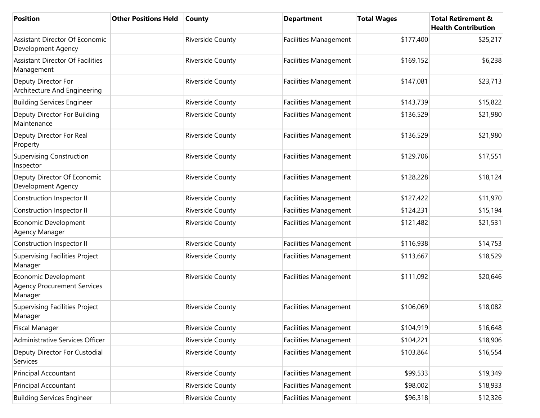| <b>Position</b>                                                       | <b>Other Positions Held</b> | <b>County</b>           | <b>Department</b>            | <b>Total Wages</b> | <b>Total Retirement &amp;</b><br><b>Health Contribution</b> |
|-----------------------------------------------------------------------|-----------------------------|-------------------------|------------------------------|--------------------|-------------------------------------------------------------|
| Assistant Director Of Economic<br>Development Agency                  |                             | <b>Riverside County</b> | <b>Facilities Management</b> | \$177,400          | \$25,217                                                    |
| <b>Assistant Director Of Facilities</b><br>Management                 |                             | <b>Riverside County</b> | <b>Facilities Management</b> | \$169,152          | \$6,238                                                     |
| Deputy Director For<br>Architecture And Engineering                   |                             | <b>Riverside County</b> | <b>Facilities Management</b> | \$147,081          | \$23,713                                                    |
| <b>Building Services Engineer</b>                                     |                             | <b>Riverside County</b> | Facilities Management        | \$143,739          | \$15,822                                                    |
| Deputy Director For Building<br>Maintenance                           |                             | Riverside County        | <b>Facilities Management</b> | \$136,529          | \$21,980                                                    |
| Deputy Director For Real<br>Property                                  |                             | <b>Riverside County</b> | <b>Facilities Management</b> | \$136,529          | \$21,980                                                    |
| <b>Supervising Construction</b><br>Inspector                          |                             | <b>Riverside County</b> | <b>Facilities Management</b> | \$129,706          | \$17,551                                                    |
| Deputy Director Of Economic<br>Development Agency                     |                             | <b>Riverside County</b> | <b>Facilities Management</b> | \$128,228          | \$18,124                                                    |
| Construction Inspector II                                             |                             | <b>Riverside County</b> | Facilities Management        | \$127,422          | \$11,970                                                    |
| Construction Inspector II                                             |                             | <b>Riverside County</b> | Facilities Management        | \$124,231          | \$15,194                                                    |
| Economic Development<br>Agency Manager                                |                             | Riverside County        | <b>Facilities Management</b> | \$121,482          | \$21,531                                                    |
| Construction Inspector II                                             |                             | <b>Riverside County</b> | Facilities Management        | \$116,938          | \$14,753                                                    |
| <b>Supervising Facilities Project</b><br>Manager                      |                             | Riverside County        | Facilities Management        | \$113,667          | \$18,529                                                    |
| Economic Development<br><b>Agency Procurement Services</b><br>Manager |                             | <b>Riverside County</b> | <b>Facilities Management</b> | \$111,092          | \$20,646                                                    |
| <b>Supervising Facilities Project</b><br>Manager                      |                             | <b>Riverside County</b> | <b>Facilities Management</b> | \$106,069          | \$18,082                                                    |
| <b>Fiscal Manager</b>                                                 |                             | Riverside County        | Facilities Management        | \$104,919          | \$16,648                                                    |
| Administrative Services Officer                                       |                             | Riverside County        | Facilities Management        | \$104,221          | \$18,906                                                    |
| Deputy Director For Custodial<br>Services                             |                             | Riverside County        | Facilities Management        | \$103,864          | \$16,554                                                    |
| Principal Accountant                                                  |                             | Riverside County        | Facilities Management        | \$99,533           | \$19,349                                                    |
| Principal Accountant                                                  |                             | Riverside County        | <b>Facilities Management</b> | \$98,002           | \$18,933                                                    |
| <b>Building Services Engineer</b>                                     |                             | Riverside County        | Facilities Management        | \$96,318           | \$12,326                                                    |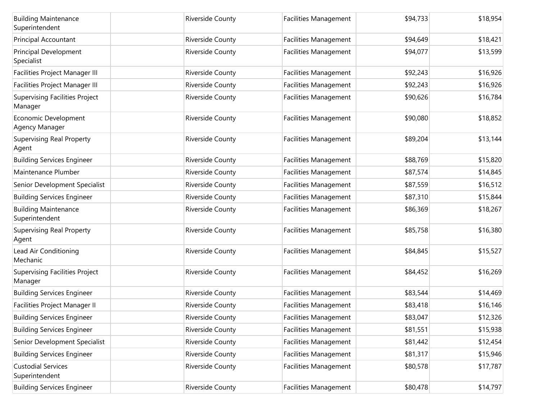| <b>Building Maintenance</b><br>Superintendent    | <b>Riverside County</b> | <b>Facilities Management</b> | \$94,733 | \$18,954 |
|--------------------------------------------------|-------------------------|------------------------------|----------|----------|
| Principal Accountant                             | <b>Riverside County</b> | Facilities Management        | \$94,649 | \$18,421 |
| Principal Development<br>Specialist              | Riverside County        | <b>Facilities Management</b> | \$94,077 | \$13,599 |
| Facilities Project Manager III                   | <b>Riverside County</b> | <b>Facilities Management</b> | \$92,243 | \$16,926 |
| Facilities Project Manager III                   | Riverside County        | Facilities Management        | \$92,243 | \$16,926 |
| <b>Supervising Facilities Project</b><br>Manager | Riverside County        | Facilities Management        | \$90,626 | \$16,784 |
| Economic Development<br>Agency Manager           | <b>Riverside County</b> | Facilities Management        | \$90,080 | \$18,852 |
| <b>Supervising Real Property</b><br>Agent        | <b>Riverside County</b> | <b>Facilities Management</b> | \$89,204 | \$13,144 |
| <b>Building Services Engineer</b>                | Riverside County        | Facilities Management        | \$88,769 | \$15,820 |
| Maintenance Plumber                              | Riverside County        | Facilities Management        | \$87,574 | \$14,845 |
| Senior Development Specialist                    | Riverside County        | Facilities Management        | \$87,559 | \$16,512 |
| <b>Building Services Engineer</b>                | Riverside County        | <b>Facilities Management</b> | \$87,310 | \$15,844 |
| <b>Building Maintenance</b><br>Superintendent    | Riverside County        | Facilities Management        | \$86,369 | \$18,267 |
| <b>Supervising Real Property</b><br>Agent        | Riverside County        | <b>Facilities Management</b> | \$85,758 | \$16,380 |
| Lead Air Conditioning<br>Mechanic                | <b>Riverside County</b> | Facilities Management        | \$84,845 | \$15,527 |
| <b>Supervising Facilities Project</b><br>Manager | <b>Riverside County</b> | <b>Facilities Management</b> | \$84,452 | \$16,269 |
| <b>Building Services Engineer</b>                | Riverside County        | Facilities Management        | \$83,544 | \$14,469 |
| Facilities Project Manager II                    | Riverside County        | <b>Facilities Management</b> | \$83,418 | \$16,146 |
| <b>Building Services Engineer</b>                | Riverside County        | Facilities Management        | \$83,047 | \$12,326 |
| <b>Building Services Engineer</b>                | Riverside County        | <b>Facilities Management</b> | \$81,551 | \$15,938 |
| Senior Development Specialist                    | Riverside County        | <b>Facilities Management</b> | \$81,442 | \$12,454 |
| <b>Building Services Engineer</b>                | Riverside County        | <b>Facilities Management</b> | \$81,317 | \$15,946 |
| <b>Custodial Services</b><br>Superintendent      | Riverside County        | Facilities Management        | \$80,578 | \$17,787 |
| <b>Building Services Engineer</b>                | Riverside County        | <b>Facilities Management</b> | \$80,478 | \$14,797 |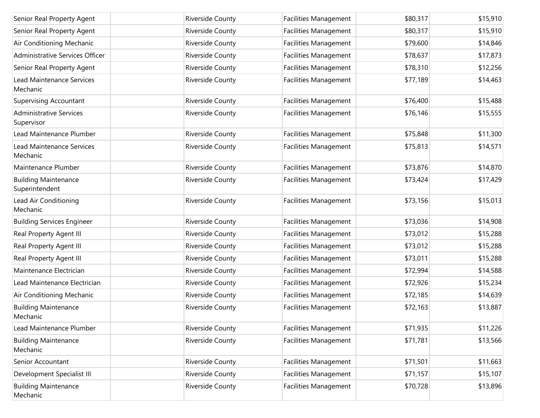| Senior Real Property Agent                    | Riverside County        | <b>Facilities Management</b> | \$80,317 | \$15,910 |
|-----------------------------------------------|-------------------------|------------------------------|----------|----------|
| Senior Real Property Agent                    | Riverside County        | <b>Facilities Management</b> | \$80,317 | \$15,910 |
| Air Conditioning Mechanic                     | Riverside County        | <b>Facilities Management</b> | \$79,600 | \$14,846 |
| Administrative Services Officer               | Riverside County        | <b>Facilities Management</b> | \$78,637 | \$17,873 |
| Senior Real Property Agent                    | Riverside County        | <b>Facilities Management</b> | \$78,310 | \$12,256 |
| <b>Lead Maintenance Services</b><br>Mechanic  | Riverside County        | <b>Facilities Management</b> | \$77,189 | \$14,463 |
| <b>Supervising Accountant</b>                 | Riverside County        | <b>Facilities Management</b> | \$76,400 | \$15,488 |
| <b>Administrative Services</b><br>Supervisor  | Riverside County        | <b>Facilities Management</b> | \$76,146 | \$15,555 |
| Lead Maintenance Plumber                      | Riverside County        | <b>Facilities Management</b> | \$75,848 | \$11,300 |
| Lead Maintenance Services<br>Mechanic         | Riverside County        | <b>Facilities Management</b> | \$75,813 | \$14,571 |
| Maintenance Plumber                           | Riverside County        | <b>Facilities Management</b> | \$73,876 | \$14,870 |
| <b>Building Maintenance</b><br>Superintendent | Riverside County        | <b>Facilities Management</b> | \$73,424 | \$17,429 |
| Lead Air Conditioning<br>Mechanic             | Riverside County        | <b>Facilities Management</b> | \$73,156 | \$15,013 |
| <b>Building Services Engineer</b>             | Riverside County        | <b>Facilities Management</b> | \$73,036 | \$14,908 |
| Real Property Agent III                       | Riverside County        | <b>Facilities Management</b> | \$73,012 | \$15,288 |
| Real Property Agent III                       | Riverside County        | <b>Facilities Management</b> | \$73,012 | \$15,288 |
| Real Property Agent III                       | <b>Riverside County</b> | <b>Facilities Management</b> | \$73,011 | \$15,288 |
| Maintenance Electrician                       | Riverside County        | <b>Facilities Management</b> | \$72,994 | \$14,588 |
| Lead Maintenance Electrician                  | <b>Riverside County</b> | <b>Facilities Management</b> | \$72,926 | \$15,234 |
| Air Conditioning Mechanic                     | Riverside County        | <b>Facilities Management</b> | \$72,185 | \$14,639 |
| <b>Building Maintenance</b><br>Mechanic       | Riverside County        | <b>Facilities Management</b> | \$72,163 | \$13,887 |
| Lead Maintenance Plumber                      | Riverside County        | <b>Facilities Management</b> | \$71,935 | \$11,226 |
| <b>Building Maintenance</b><br>Mechanic       | Riverside County        | <b>Facilities Management</b> | \$71,781 | \$13,566 |
| Senior Accountant                             | Riverside County        | <b>Facilities Management</b> | \$71,501 | \$11,663 |
| Development Specialist III                    | Riverside County        | <b>Facilities Management</b> | \$71,157 | \$15,107 |
| <b>Building Maintenance</b><br>Mechanic       | Riverside County        | <b>Facilities Management</b> | \$70,728 | \$13,896 |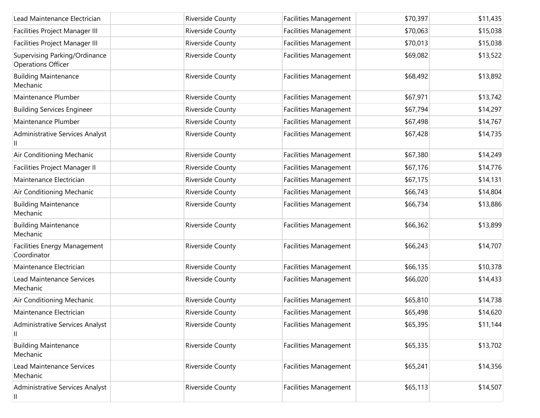| Lead Maintenance Electrician                        | Riverside County        | <b>Facilities Management</b> | \$70,397 | \$11,435 |
|-----------------------------------------------------|-------------------------|------------------------------|----------|----------|
| Facilities Project Manager III                      | Riverside County        | Facilities Management        | \$70,063 | \$15,038 |
| Facilities Project Manager III                      | Riverside County        | <b>Facilities Management</b> | \$70,013 | \$15,038 |
| Supervising Parking/Ordinance<br>Operations Officer | Riverside County        | <b>Facilities Management</b> | \$69,082 | \$13,522 |
| <b>Building Maintenance</b><br>Mechanic             | <b>Riverside County</b> | <b>Facilities Management</b> | \$68,492 | \$13,892 |
| Maintenance Plumber                                 | Riverside County        | Facilities Management        | \$67,971 | \$13,742 |
| <b>Building Services Engineer</b>                   | Riverside County        | <b>Facilities Management</b> | \$67,794 | \$14,297 |
| Maintenance Plumber                                 | Riverside County        | Facilities Management        | \$67,498 | \$14,767 |
| Administrative Services Analyst                     | Riverside County        | Facilities Management        | \$67,428 | \$14,735 |
| Air Conditioning Mechanic                           | Riverside County        | Facilities Management        | \$67,380 | \$14,249 |
| Facilities Project Manager II                       | Riverside County        | <b>Facilities Management</b> | \$67,176 | \$14,776 |
| Maintenance Electrician                             | Riverside County        | Facilities Management        | \$67,175 | \$14,131 |
| Air Conditioning Mechanic                           | Riverside County        | <b>Facilities Management</b> | \$66,743 | \$14,804 |
| <b>Building Maintenance</b><br>Mechanic             | Riverside County        | <b>Facilities Management</b> | \$66,734 | \$13,886 |
| <b>Building Maintenance</b><br>Mechanic             | <b>Riverside County</b> | <b>Facilities Management</b> | \$66,362 | \$13,899 |
| Facilities Energy Management<br>Coordinator         | <b>Riverside County</b> | <b>Facilities Management</b> | \$66,243 | \$14,707 |
| Maintenance Electrician                             | Riverside County        | Facilities Management        | \$66,135 | \$10,378 |
| <b>Lead Maintenance Services</b><br>Mechanic        | Riverside County        | <b>Facilities Management</b> | \$66,020 | \$14,433 |
| Air Conditioning Mechanic                           | Riverside County        | <b>Facilities Management</b> | \$65,810 | \$14,738 |
| Maintenance Electrician                             | Riverside County        | <b>Facilities Management</b> | \$65,498 | \$14,620 |
| Administrative Services Analyst                     | Riverside County        | <b>Facilities Management</b> | \$65,395 | \$11,144 |
| <b>Building Maintenance</b><br>Mechanic             | <b>Riverside County</b> | <b>Facilities Management</b> | \$65,335 | \$13,702 |
| <b>Lead Maintenance Services</b><br>Mechanic        | Riverside County        | <b>Facilities Management</b> | \$65,241 | \$14,356 |
| Administrative Services Analyst<br>Ш                | Riverside County        | Facilities Management        | \$65,113 | \$14,507 |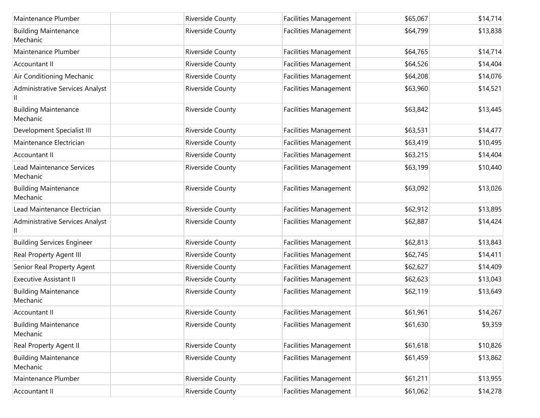| Maintenance Plumber                          | <b>Riverside County</b> | <b>Facilities Management</b> | \$65,067 | \$14,714 |
|----------------------------------------------|-------------------------|------------------------------|----------|----------|
| <b>Building Maintenance</b><br>Mechanic      | Riverside County        | <b>Facilities Management</b> | \$64,799 | \$13,838 |
| Maintenance Plumber                          | Riverside County        | Facilities Management        | \$64,765 | \$14,714 |
| Accountant II                                | Riverside County        | Facilities Management        | \$64,526 | \$14,404 |
| Air Conditioning Mechanic                    | Riverside County        | <b>Facilities Management</b> | \$64,208 | \$14,076 |
| Administrative Services Analyst              | Riverside County        | Facilities Management        | \$63,960 | \$14,521 |
| <b>Building Maintenance</b><br>Mechanic      | Riverside County        | Facilities Management        | \$63,842 | \$13,445 |
| Development Specialist III                   | Riverside County        | Facilities Management        | \$63,531 | \$14,477 |
| Maintenance Electrician                      | Riverside County        | Facilities Management        | \$63,419 | \$10,495 |
| Accountant II                                | Riverside County        | <b>Facilities Management</b> | \$63,215 | \$14,404 |
| <b>Lead Maintenance Services</b><br>Mechanic | Riverside County        | <b>Facilities Management</b> | \$63,199 | \$10,440 |
| <b>Building Maintenance</b><br>Mechanic      | Riverside County        | <b>Facilities Management</b> | \$63,092 | \$13,026 |
| Lead Maintenance Electrician                 | Riverside County        | Facilities Management        | \$62,912 | \$13,895 |
| Administrative Services Analyst              | Riverside County        | Facilities Management        | \$62,887 | \$14,424 |
| <b>Building Services Engineer</b>            | Riverside County        | Facilities Management        | \$62,813 | \$13,843 |
| Real Property Agent III                      | Riverside County        | Facilities Management        | \$62,745 | \$14,411 |
| Senior Real Property Agent                   | Riverside County        | Facilities Management        | \$62,627 | \$14,409 |
| <b>Executive Assistant II</b>                | Riverside County        | Facilities Management        | \$62,623 | \$13,043 |
| <b>Building Maintenance</b><br>Mechanic      | Riverside County        | Facilities Management        | \$62,119 | \$13,649 |
| Accountant II                                | Riverside County        | Facilities Management        | \$61,961 | \$14,267 |
| <b>Building Maintenance</b><br>Mechanic      | Riverside County        | <b>Facilities Management</b> | \$61,630 | \$9,359  |
| Real Property Agent II                       | Riverside County        | Facilities Management        | \$61,618 | \$10,826 |
| <b>Building Maintenance</b><br>Mechanic      | Riverside County        | Facilities Management        | \$61,459 | \$13,862 |
| Maintenance Plumber                          | Riverside County        | <b>Facilities Management</b> | \$61,211 | \$13,955 |
| Accountant II                                | Riverside County        | Facilities Management        | \$61,062 | \$14,278 |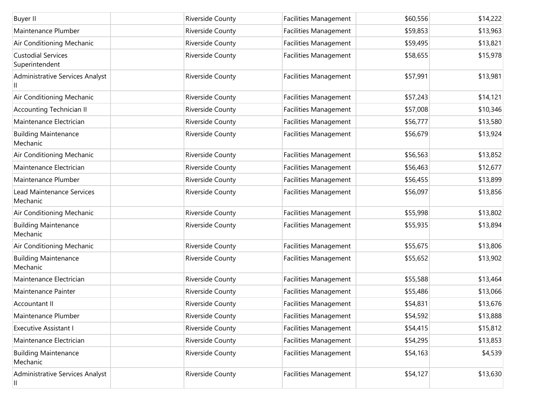| <b>Buyer II</b>                              | Riverside County        | <b>Facilities Management</b> | \$60,556 | \$14,222 |
|----------------------------------------------|-------------------------|------------------------------|----------|----------|
| Maintenance Plumber                          | Riverside County        | <b>Facilities Management</b> | \$59,853 | \$13,963 |
| Air Conditioning Mechanic                    | Riverside County        | <b>Facilities Management</b> | \$59,495 | \$13,821 |
| <b>Custodial Services</b><br>Superintendent  | Riverside County        | Facilities Management        | \$58,655 | \$15,978 |
| Administrative Services Analyst              | Riverside County        | <b>Facilities Management</b> | \$57,991 | \$13,981 |
| Air Conditioning Mechanic                    | Riverside County        | Facilities Management        | \$57,243 | \$14,121 |
| <b>Accounting Technician II</b>              | Riverside County        | Facilities Management        | \$57,008 | \$10,346 |
| Maintenance Electrician                      | Riverside County        | Facilities Management        | \$56,777 | \$13,580 |
| <b>Building Maintenance</b><br>Mechanic      | Riverside County        | Facilities Management        | \$56,679 | \$13,924 |
| Air Conditioning Mechanic                    | Riverside County        | Facilities Management        | \$56,563 | \$13,852 |
| Maintenance Electrician                      | <b>Riverside County</b> | Facilities Management        | \$56,463 | \$12,677 |
| Maintenance Plumber                          | Riverside County        | <b>Facilities Management</b> | \$56,455 | \$13,899 |
| <b>Lead Maintenance Services</b><br>Mechanic | Riverside County        | <b>Facilities Management</b> | \$56,097 | \$13,856 |
| Air Conditioning Mechanic                    | Riverside County        | Facilities Management        | \$55,998 | \$13,802 |
| <b>Building Maintenance</b><br>Mechanic      | Riverside County        | Facilities Management        | \$55,935 | \$13,894 |
| Air Conditioning Mechanic                    | Riverside County        | Facilities Management        | \$55,675 | \$13,806 |
| <b>Building Maintenance</b><br>Mechanic      | Riverside County        | Facilities Management        | \$55,652 | \$13,902 |
| Maintenance Electrician                      | Riverside County        | Facilities Management        | \$55,588 | \$13,464 |
| Maintenance Painter                          | Riverside County        | Facilities Management        | \$55,486 | \$13,066 |
| Accountant II                                | Riverside County        | Facilities Management        | \$54,831 | \$13,676 |
| Maintenance Plumber                          | Riverside County        | <b>Facilities Management</b> | \$54,592 | \$13,888 |
| <b>Executive Assistant I</b>                 | Riverside County        | <b>Facilities Management</b> | \$54,415 | \$15,812 |
| Maintenance Electrician                      | Riverside County        | <b>Facilities Management</b> | \$54,295 | \$13,853 |
| <b>Building Maintenance</b><br>Mechanic      | Riverside County        | <b>Facilities Management</b> | \$54,163 | \$4,539  |
| Administrative Services Analyst<br>Ш         | Riverside County        | Facilities Management        | \$54,127 | \$13,630 |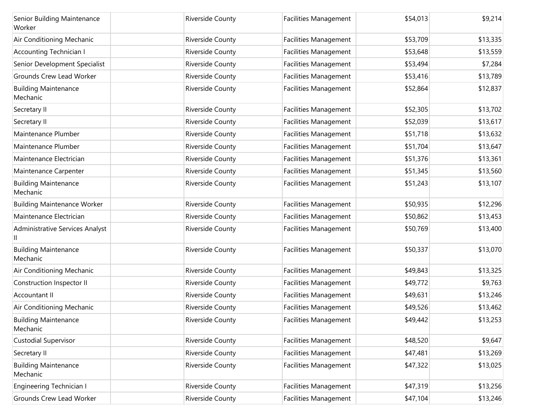| Senior Building Maintenance<br>Worker   | Riverside County        | <b>Facilities Management</b> | \$54,013 | \$9,214  |
|-----------------------------------------|-------------------------|------------------------------|----------|----------|
| Air Conditioning Mechanic               | Riverside County        | <b>Facilities Management</b> | \$53,709 | \$13,335 |
| <b>Accounting Technician I</b>          | Riverside County        | <b>Facilities Management</b> | \$53,648 | \$13,559 |
| Senior Development Specialist           | Riverside County        | <b>Facilities Management</b> | \$53,494 | \$7,284  |
| Grounds Crew Lead Worker                | Riverside County        | Facilities Management        | \$53,416 | \$13,789 |
| <b>Building Maintenance</b><br>Mechanic | Riverside County        | <b>Facilities Management</b> | \$52,864 | \$12,837 |
| Secretary II                            | Riverside County        | <b>Facilities Management</b> | \$52,305 | \$13,702 |
| Secretary II                            | Riverside County        | <b>Facilities Management</b> | \$52,039 | \$13,617 |
| Maintenance Plumber                     | Riverside County        | <b>Facilities Management</b> | \$51,718 | \$13,632 |
| Maintenance Plumber                     | Riverside County        | <b>Facilities Management</b> | \$51,704 | \$13,647 |
| Maintenance Electrician                 | Riverside County        | <b>Facilities Management</b> | \$51,376 | \$13,361 |
| Maintenance Carpenter                   | Riverside County        | <b>Facilities Management</b> | \$51,345 | \$13,560 |
| <b>Building Maintenance</b><br>Mechanic | Riverside County        | <b>Facilities Management</b> | \$51,243 | \$13,107 |
| <b>Building Maintenance Worker</b>      | Riverside County        | <b>Facilities Management</b> | \$50,935 | \$12,296 |
| Maintenance Electrician                 | Riverside County        | <b>Facilities Management</b> | \$50,862 | \$13,453 |
| Administrative Services Analyst         | Riverside County        | <b>Facilities Management</b> | \$50,769 | \$13,400 |
| <b>Building Maintenance</b><br>Mechanic | <b>Riverside County</b> | <b>Facilities Management</b> | \$50,337 | \$13,070 |
| Air Conditioning Mechanic               | Riverside County        | <b>Facilities Management</b> | \$49,843 | \$13,325 |
| Construction Inspector II               | Riverside County        | <b>Facilities Management</b> | \$49,772 | \$9,763  |
| Accountant II                           | Riverside County        | <b>Facilities Management</b> | \$49,631 | \$13,246 |
| Air Conditioning Mechanic               | Riverside County        | Facilities Management        | \$49,526 | \$13,462 |
| <b>Building Maintenance</b><br>Mechanic | Riverside County        | <b>Facilities Management</b> | \$49,442 | \$13,253 |
| <b>Custodial Supervisor</b>             | Riverside County        | <b>Facilities Management</b> | \$48,520 | \$9,647  |
| Secretary II                            | Riverside County        | <b>Facilities Management</b> | \$47,481 | \$13,269 |
| <b>Building Maintenance</b><br>Mechanic | Riverside County        | <b>Facilities Management</b> | \$47,322 | \$13,025 |
| Engineering Technician I                | Riverside County        | <b>Facilities Management</b> | \$47,319 | \$13,256 |
| Grounds Crew Lead Worker                | Riverside County        | <b>Facilities Management</b> | \$47,104 | \$13,246 |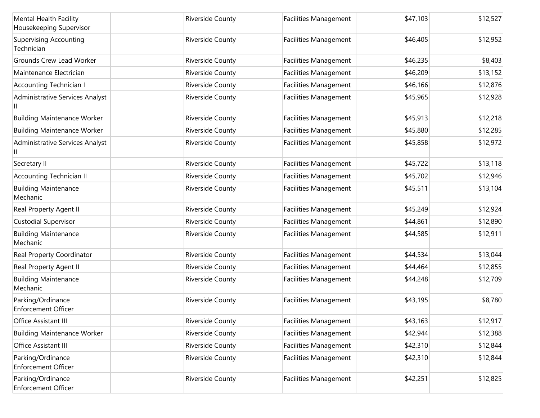| Mental Health Facility<br>Housekeeping Supervisor | Riverside County        | <b>Facilities Management</b> | \$47,103 | \$12,527 |
|---------------------------------------------------|-------------------------|------------------------------|----------|----------|
| <b>Supervising Accounting</b><br>Technician       | <b>Riverside County</b> | Facilities Management        | \$46,405 | \$12,952 |
| <b>Grounds Crew Lead Worker</b>                   | Riverside County        | Facilities Management        | \$46,235 | \$8,403  |
| Maintenance Electrician                           | Riverside County        | Facilities Management        | \$46,209 | \$13,152 |
| <b>Accounting Technician I</b>                    | Riverside County        | <b>Facilities Management</b> | \$46,166 | \$12,876 |
| Administrative Services Analyst                   | Riverside County        | <b>Facilities Management</b> | \$45,965 | \$12,928 |
| <b>Building Maintenance Worker</b>                | Riverside County        | Facilities Management        | \$45,913 | \$12,218 |
| <b>Building Maintenance Worker</b>                | Riverside County        | Facilities Management        | \$45,880 | \$12,285 |
| Administrative Services Analyst                   | Riverside County        | Facilities Management        | \$45,858 | \$12,972 |
| Secretary II                                      | Riverside County        | Facilities Management        | \$45,722 | \$13,118 |
| <b>Accounting Technician II</b>                   | Riverside County        | <b>Facilities Management</b> | \$45,702 | \$12,946 |
| <b>Building Maintenance</b><br>Mechanic           | Riverside County        | <b>Facilities Management</b> | \$45,511 | \$13,104 |
| Real Property Agent II                            | Riverside County        | Facilities Management        | \$45,249 | \$12,924 |
| <b>Custodial Supervisor</b>                       | Riverside County        | Facilities Management        | \$44,861 | \$12,890 |
| <b>Building Maintenance</b><br>Mechanic           | Riverside County        | Facilities Management        | \$44,585 | \$12,911 |
| Real Property Coordinator                         | Riverside County        | Facilities Management        | \$44,534 | \$13,044 |
| Real Property Agent II                            | Riverside County        | Facilities Management        | \$44,464 | \$12,855 |
| <b>Building Maintenance</b><br>Mechanic           | Riverside County        | <b>Facilities Management</b> | \$44,248 | \$12,709 |
| Parking/Ordinance<br>Enforcement Officer          | Riverside County        | Facilities Management        | \$43,195 | \$8,780  |
| Office Assistant III                              | <b>Riverside County</b> | <b>Facilities Management</b> | \$43,163 | \$12,917 |
| <b>Building Maintenance Worker</b>                | Riverside County        | Facilities Management        | \$42,944 | \$12,388 |
| Office Assistant III                              | Riverside County        | Facilities Management        | \$42,310 | \$12,844 |
| Parking/Ordinance<br><b>Enforcement Officer</b>   | Riverside County        | Facilities Management        | \$42,310 | \$12,844 |
| Parking/Ordinance<br>Enforcement Officer          | Riverside County        | <b>Facilities Management</b> | \$42,251 | \$12,825 |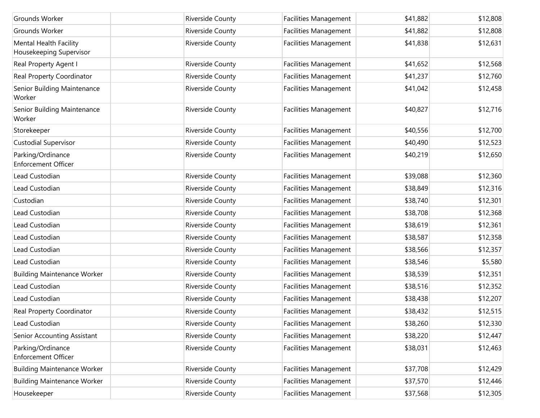| Grounds Worker                                    | Riverside County        | <b>Facilities Management</b> | \$41,882 | \$12,808 |
|---------------------------------------------------|-------------------------|------------------------------|----------|----------|
| Grounds Worker                                    | Riverside County        | <b>Facilities Management</b> | \$41,882 | \$12,808 |
| Mental Health Facility<br>Housekeeping Supervisor | Riverside County        | <b>Facilities Management</b> | \$41,838 | \$12,631 |
| Real Property Agent I                             | Riverside County        | Facilities Management        | \$41,652 | \$12,568 |
| Real Property Coordinator                         | Riverside County        | Facilities Management        | \$41,237 | \$12,760 |
| Senior Building Maintenance<br>Worker             | Riverside County        | Facilities Management        | \$41,042 | \$12,458 |
| Senior Building Maintenance<br>Worker             | Riverside County        | Facilities Management        | \$40,827 | \$12,716 |
| Storekeeper                                       | Riverside County        | <b>Facilities Management</b> | \$40,556 | \$12,700 |
| <b>Custodial Supervisor</b>                       | Riverside County        | Facilities Management        | \$40,490 | \$12,523 |
| Parking/Ordinance<br><b>Enforcement Officer</b>   | Riverside County        | Facilities Management        | \$40,219 | \$12,650 |
| Lead Custodian                                    | Riverside County        | Facilities Management        | \$39,088 | \$12,360 |
| Lead Custodian                                    | Riverside County        | Facilities Management        | \$38,849 | \$12,316 |
| Custodian                                         | Riverside County        | Facilities Management        | \$38,740 | \$12,301 |
| Lead Custodian                                    | Riverside County        | <b>Facilities Management</b> | \$38,708 | \$12,368 |
| Lead Custodian                                    | Riverside County        | Facilities Management        | \$38,619 | \$12,361 |
| Lead Custodian                                    | Riverside County        | <b>Facilities Management</b> | \$38,587 | \$12,358 |
| Lead Custodian                                    | Riverside County        | Facilities Management        | \$38,566 | \$12,357 |
| Lead Custodian                                    | Riverside County        | Facilities Management        | \$38,546 | \$5,580  |
| <b>Building Maintenance Worker</b>                | Riverside County        | Facilities Management        | \$38,539 | \$12,351 |
| Lead Custodian                                    | Riverside County        | <b>Facilities Management</b> | \$38,516 | \$12,352 |
| Lead Custodian                                    | Riverside County        | Facilities Management        | \$38,438 | \$12,207 |
| Real Property Coordinator                         | Riverside County        | Facilities Management        | \$38,432 | \$12,515 |
| Lead Custodian                                    | <b>Riverside County</b> | <b>Facilities Management</b> | \$38,260 | \$12,330 |
| Senior Accounting Assistant                       | Riverside County        | Facilities Management        | \$38,220 | \$12,447 |
| Parking/Ordinance<br>Enforcement Officer          | Riverside County        | Facilities Management        | \$38,031 | \$12,463 |
| <b>Building Maintenance Worker</b>                | Riverside County        | Facilities Management        | \$37,708 | \$12,429 |
| <b>Building Maintenance Worker</b>                | Riverside County        | Facilities Management        | \$37,570 | \$12,446 |
| Housekeeper                                       | Riverside County        | Facilities Management        | \$37,568 | \$12,305 |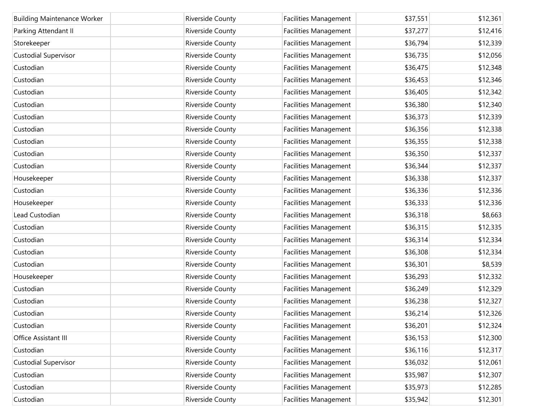| <b>Building Maintenance Worker</b> | <b>Riverside County</b> | <b>Facilities Management</b> | \$37,551 | \$12,361 |
|------------------------------------|-------------------------|------------------------------|----------|----------|
| Parking Attendant II               | Riverside County        | Facilities Management        | \$37,277 | \$12,416 |
| Storekeeper                        | Riverside County        | <b>Facilities Management</b> | \$36,794 | \$12,339 |
| <b>Custodial Supervisor</b>        | Riverside County        | Facilities Management        | \$36,735 | \$12,056 |
| Custodian                          | Riverside County        | <b>Facilities Management</b> | \$36,475 | \$12,348 |
| Custodian                          | Riverside County        | Facilities Management        | \$36,453 | \$12,346 |
| Custodian                          | Riverside County        | Facilities Management        | \$36,405 | \$12,342 |
| Custodian                          | Riverside County        | Facilities Management        | \$36,380 | \$12,340 |
| Custodian                          | Riverside County        | Facilities Management        | \$36,373 | \$12,339 |
| Custodian                          | Riverside County        | <b>Facilities Management</b> | \$36,356 | \$12,338 |
| Custodian                          | Riverside County        | <b>Facilities Management</b> | \$36,355 | \$12,338 |
| Custodian                          | Riverside County        | Facilities Management        | \$36,350 | \$12,337 |
| Custodian                          | Riverside County        | <b>Facilities Management</b> | \$36,344 | \$12,337 |
| Housekeeper                        | Riverside County        | Facilities Management        | \$36,338 | \$12,337 |
| Custodian                          | Riverside County        | Facilities Management        | \$36,336 | \$12,336 |
| Housekeeper                        | Riverside County        | Facilities Management        | \$36,333 | \$12,336 |
| Lead Custodian                     | Riverside County        | Facilities Management        | \$36,318 | \$8,663  |
| Custodian                          | Riverside County        | Facilities Management        | \$36,315 | \$12,335 |
| Custodian                          | Riverside County        | Facilities Management        | \$36,314 | \$12,334 |
| Custodian                          | Riverside County        | Facilities Management        | \$36,308 | \$12,334 |
| Custodian                          | Riverside County        | Facilities Management        | \$36,301 | \$8,539  |
| Housekeeper                        | Riverside County        | Facilities Management        | \$36,293 | \$12,332 |
| Custodian                          | Riverside County        | Facilities Management        | \$36,249 | \$12,329 |
| Custodian                          | Riverside County        | Facilities Management        | \$36,238 | \$12,327 |
| Custodian                          | Riverside County        | Facilities Management        | \$36,214 | \$12,326 |
| Custodian                          | Riverside County        | <b>Facilities Management</b> | \$36,201 | \$12,324 |
| Office Assistant III               | Riverside County        | <b>Facilities Management</b> | \$36,153 | \$12,300 |
| Custodian                          | Riverside County        | <b>Facilities Management</b> | \$36,116 | \$12,317 |
| <b>Custodial Supervisor</b>        | Riverside County        | <b>Facilities Management</b> | \$36,032 | \$12,061 |
| Custodian                          | Riverside County        | <b>Facilities Management</b> | \$35,987 | \$12,307 |
| Custodian                          | Riverside County        | <b>Facilities Management</b> | \$35,973 | \$12,285 |
| Custodian                          | Riverside County        | <b>Facilities Management</b> | \$35,942 | \$12,301 |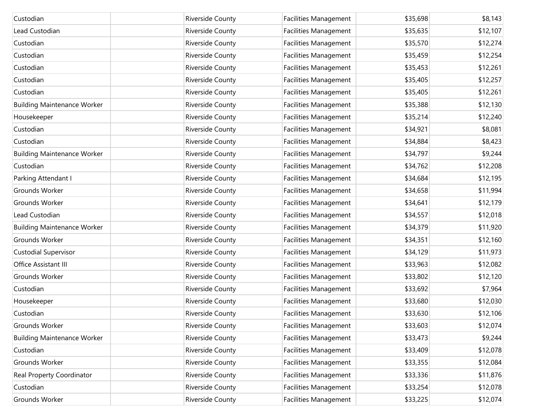| Custodian                          | Riverside County | <b>Facilities Management</b> | \$35,698 | \$8,143  |
|------------------------------------|------------------|------------------------------|----------|----------|
| Lead Custodian                     | Riverside County | Facilities Management        | \$35,635 | \$12,107 |
| Custodian                          | Riverside County | <b>Facilities Management</b> | \$35,570 | \$12,274 |
| Custodian                          | Riverside County | Facilities Management        | \$35,459 | \$12,254 |
| Custodian                          | Riverside County | <b>Facilities Management</b> | \$35,453 | \$12,261 |
| Custodian                          | Riverside County | Facilities Management        | \$35,405 | \$12,257 |
| Custodian                          | Riverside County | <b>Facilities Management</b> | \$35,405 | \$12,261 |
| <b>Building Maintenance Worker</b> | Riverside County | Facilities Management        | \$35,388 | \$12,130 |
| Housekeeper                        | Riverside County | Facilities Management        | \$35,214 | \$12,240 |
| Custodian                          | Riverside County | Facilities Management        | \$34,921 | \$8,081  |
| Custodian                          | Riverside County | Facilities Management        | \$34,884 | \$8,423  |
| <b>Building Maintenance Worker</b> | Riverside County | Facilities Management        | \$34,797 | \$9,244  |
| Custodian                          | Riverside County | <b>Facilities Management</b> | \$34,762 | \$12,208 |
| Parking Attendant I                | Riverside County | Facilities Management        | \$34,684 | \$12,195 |
| Grounds Worker                     | Riverside County | Facilities Management        | \$34,658 | \$11,994 |
| Grounds Worker                     | Riverside County | Facilities Management        | \$34,641 | \$12,179 |
| Lead Custodian                     | Riverside County | Facilities Management        | \$34,557 | \$12,018 |
| <b>Building Maintenance Worker</b> | Riverside County | Facilities Management        | \$34,379 | \$11,920 |
| Grounds Worker                     | Riverside County | <b>Facilities Management</b> | \$34,351 | \$12,160 |
| <b>Custodial Supervisor</b>        | Riverside County | Facilities Management        | \$34,129 | \$11,973 |
| Office Assistant III               | Riverside County | Facilities Management        | \$33,963 | \$12,082 |
| Grounds Worker                     | Riverside County | Facilities Management        | \$33,802 | \$12,120 |
| Custodian                          | Riverside County | <b>Facilities Management</b> | \$33,692 | \$7,964  |
| Housekeeper                        | Riverside County | Facilities Management        | \$33,680 | \$12,030 |
| Custodian                          | Riverside County | <b>Facilities Management</b> | \$33,630 | \$12,106 |
| Grounds Worker                     | Riverside County | <b>Facilities Management</b> | \$33,603 | \$12,074 |
| <b>Building Maintenance Worker</b> | Riverside County | Facilities Management        | \$33,473 | \$9,244  |
| Custodian                          | Riverside County | Facilities Management        | \$33,409 | \$12,078 |
| Grounds Worker                     | Riverside County | Facilities Management        | \$33,355 | \$12,084 |
| Real Property Coordinator          | Riverside County | Facilities Management        | \$33,336 | \$11,876 |
| Custodian                          | Riverside County | Facilities Management        | \$33,254 | \$12,078 |
| Grounds Worker                     | Riverside County | <b>Facilities Management</b> | \$33,225 | \$12,074 |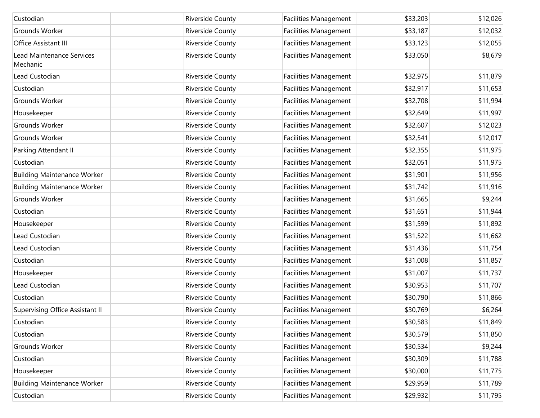| Custodian                                    | Riverside County | <b>Facilities Management</b> | \$33,203 | \$12,026 |
|----------------------------------------------|------------------|------------------------------|----------|----------|
| Grounds Worker                               | Riverside County | Facilities Management        | \$33,187 | \$12,032 |
| Office Assistant III                         | Riverside County | <b>Facilities Management</b> | \$33,123 | \$12,055 |
| <b>Lead Maintenance Services</b><br>Mechanic | Riverside County | <b>Facilities Management</b> | \$33,050 | \$8,679  |
| Lead Custodian                               | Riverside County | Facilities Management        | \$32,975 | \$11,879 |
| Custodian                                    | Riverside County | Facilities Management        | \$32,917 | \$11,653 |
| Grounds Worker                               | Riverside County | <b>Facilities Management</b> | \$32,708 | \$11,994 |
| Housekeeper                                  | Riverside County | Facilities Management        | \$32,649 | \$11,997 |
| Grounds Worker                               | Riverside County | <b>Facilities Management</b> | \$32,607 | \$12,023 |
| Grounds Worker                               | Riverside County | Facilities Management        | \$32,541 | \$12,017 |
| Parking Attendant II                         | Riverside County | <b>Facilities Management</b> | \$32,355 | \$11,975 |
| Custodian                                    | Riverside County | Facilities Management        | \$32,051 | \$11,975 |
| <b>Building Maintenance Worker</b>           | Riverside County | <b>Facilities Management</b> | \$31,901 | \$11,956 |
| <b>Building Maintenance Worker</b>           | Riverside County | Facilities Management        | \$31,742 | \$11,916 |
| Grounds Worker                               | Riverside County | <b>Facilities Management</b> | \$31,665 | \$9,244  |
| Custodian                                    | Riverside County | Facilities Management        | \$31,651 | \$11,944 |
| Housekeeper                                  | Riverside County | <b>Facilities Management</b> | \$31,599 | \$11,892 |
| Lead Custodian                               | Riverside County | Facilities Management        | \$31,522 | \$11,662 |
| Lead Custodian                               | Riverside County | <b>Facilities Management</b> | \$31,436 | \$11,754 |
| Custodian                                    | Riverside County | Facilities Management        | \$31,008 | \$11,857 |
| Housekeeper                                  | Riverside County | <b>Facilities Management</b> | \$31,007 | \$11,737 |
| Lead Custodian                               | Riverside County | Facilities Management        | \$30,953 | \$11,707 |
| Custodian                                    | Riverside County | <b>Facilities Management</b> | \$30,790 | \$11,866 |
| Supervising Office Assistant II              | Riverside County | Facilities Management        | \$30,769 | \$6,264  |
| Custodian                                    | Riverside County | <b>Facilities Management</b> | \$30,583 | \$11,849 |
| Custodian                                    | Riverside County | Facilities Management        | \$30,579 | \$11,850 |
| Grounds Worker                               | Riverside County | Facilities Management        | \$30,534 | \$9,244  |
| Custodian                                    | Riverside County | Facilities Management        | \$30,309 | \$11,788 |
| Housekeeper                                  | Riverside County | <b>Facilities Management</b> | \$30,000 | \$11,775 |
| <b>Building Maintenance Worker</b>           | Riverside County | <b>Facilities Management</b> | \$29,959 | \$11,789 |
| Custodian                                    | Riverside County | <b>Facilities Management</b> | \$29,932 | \$11,795 |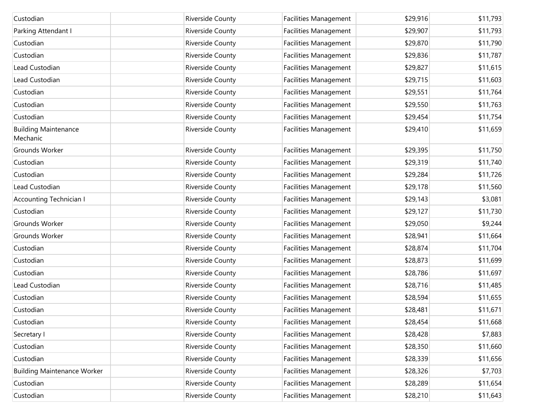| Custodian                               | <b>Riverside County</b> | <b>Facilities Management</b> | \$29,916 | \$11,793 |
|-----------------------------------------|-------------------------|------------------------------|----------|----------|
| Parking Attendant I                     | Riverside County        | Facilities Management        | \$29,907 | \$11,793 |
| Custodian                               | Riverside County        | <b>Facilities Management</b> | \$29,870 | \$11,790 |
| Custodian                               | Riverside County        | <b>Facilities Management</b> | \$29,836 | \$11,787 |
| Lead Custodian                          | Riverside County        | <b>Facilities Management</b> | \$29,827 | \$11,615 |
| Lead Custodian                          | Riverside County        | <b>Facilities Management</b> | \$29,715 | \$11,603 |
| Custodian                               | Riverside County        | <b>Facilities Management</b> | \$29,551 | \$11,764 |
| Custodian                               | Riverside County        | <b>Facilities Management</b> | \$29,550 | \$11,763 |
| Custodian                               | Riverside County        | <b>Facilities Management</b> | \$29,454 | \$11,754 |
| <b>Building Maintenance</b><br>Mechanic | Riverside County        | <b>Facilities Management</b> | \$29,410 | \$11,659 |
| Grounds Worker                          | Riverside County        | <b>Facilities Management</b> | \$29,395 | \$11,750 |
| Custodian                               | Riverside County        | Facilities Management        | \$29,319 | \$11,740 |
| Custodian                               | Riverside County        | <b>Facilities Management</b> | \$29,284 | \$11,726 |
| Lead Custodian                          | Riverside County        | <b>Facilities Management</b> | \$29,178 | \$11,560 |
| <b>Accounting Technician I</b>          | Riverside County        | <b>Facilities Management</b> | \$29,143 | \$3,081  |
| Custodian                               | Riverside County        | Facilities Management        | \$29,127 | \$11,730 |
| Grounds Worker                          | Riverside County        | <b>Facilities Management</b> | \$29,050 | \$9,244  |
| Grounds Worker                          | Riverside County        | Facilities Management        | \$28,941 | \$11,664 |
| Custodian                               | Riverside County        | <b>Facilities Management</b> | \$28,874 | \$11,704 |
| Custodian                               | Riverside County        | <b>Facilities Management</b> | \$28,873 | \$11,699 |
| Custodian                               | Riverside County        | <b>Facilities Management</b> | \$28,786 | \$11,697 |
| Lead Custodian                          | Riverside County        | <b>Facilities Management</b> | \$28,716 | \$11,485 |
| Custodian                               | Riverside County        | <b>Facilities Management</b> | \$28,594 | \$11,655 |
| Custodian                               | Riverside County        | <b>Facilities Management</b> | \$28,481 | \$11,671 |
| Custodian                               | Riverside County        | <b>Facilities Management</b> | \$28,454 | \$11,668 |
| Secretary I                             | Riverside County        | <b>Facilities Management</b> | \$28,428 | \$7,883  |
| Custodian                               | Riverside County        | Facilities Management        | \$28,350 | \$11,660 |
| Custodian                               | Riverside County        | <b>Facilities Management</b> | \$28,339 | \$11,656 |
| <b>Building Maintenance Worker</b>      | Riverside County        | <b>Facilities Management</b> | \$28,326 | \$7,703  |
| Custodian                               | Riverside County        | <b>Facilities Management</b> | \$28,289 | \$11,654 |
| Custodian                               | Riverside County        | <b>Facilities Management</b> | \$28,210 | \$11,643 |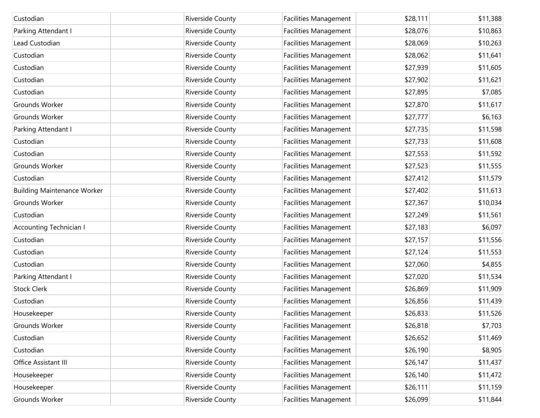| Custodian                          | Riverside County | Facilities Management        | \$28,111 | \$11,388 |
|------------------------------------|------------------|------------------------------|----------|----------|
| Parking Attendant I                | Riverside County | Facilities Management        | \$28,076 | \$10,863 |
| Lead Custodian                     | Riverside County | <b>Facilities Management</b> | \$28,069 | \$10,263 |
| Custodian                          | Riverside County | Facilities Management        | \$28,062 | \$11,641 |
| Custodian                          | Riverside County | <b>Facilities Management</b> | \$27,939 | \$11,605 |
| Custodian                          | Riverside County | Facilities Management        | \$27,902 | \$11,621 |
| Custodian                          | Riverside County | <b>Facilities Management</b> | \$27,895 | \$7,085  |
| Grounds Worker                     | Riverside County | Facilities Management        | \$27,870 | \$11,617 |
| Grounds Worker                     | Riverside County | Facilities Management        | \$27,777 | \$6,163  |
| Parking Attendant I                | Riverside County | Facilities Management        | \$27,735 | \$11,598 |
| Custodian                          | Riverside County | Facilities Management        | \$27,733 | \$11,608 |
| Custodian                          | Riverside County | Facilities Management        | \$27,553 | \$11,592 |
| Grounds Worker                     | Riverside County | <b>Facilities Management</b> | \$27,523 | \$11,555 |
| Custodian                          | Riverside County | Facilities Management        | \$27,412 | \$11,579 |
| <b>Building Maintenance Worker</b> | Riverside County | Facilities Management        | \$27,402 | \$11,613 |
| Grounds Worker                     | Riverside County | Facilities Management        | \$27,367 | \$10,034 |
| Custodian                          | Riverside County | Facilities Management        | \$27,249 | \$11,561 |
| Accounting Technician I            | Riverside County | Facilities Management        | \$27,183 | \$6,097  |
| Custodian                          | Riverside County | <b>Facilities Management</b> | \$27,157 | \$11,556 |
| Custodian                          | Riverside County | Facilities Management        | \$27,124 | \$11,553 |
| Custodian                          | Riverside County | Facilities Management        | \$27,060 | \$4,855  |
| Parking Attendant I                | Riverside County | Facilities Management        | \$27,020 | \$11,534 |
| <b>Stock Clerk</b>                 | Riverside County | <b>Facilities Management</b> | \$26,869 | \$11,909 |
| Custodian                          | Riverside County | Facilities Management        | \$26,856 | \$11,439 |
| Housekeeper                        | Riverside County | <b>Facilities Management</b> | \$26,833 | \$11,526 |
| Grounds Worker                     | Riverside County | <b>Facilities Management</b> | \$26,818 | \$7,703  |
| Custodian                          | Riverside County | <b>Facilities Management</b> | \$26,652 | \$11,469 |
| Custodian                          | Riverside County | <b>Facilities Management</b> | \$26,190 | \$8,905  |
| Office Assistant III               | Riverside County | <b>Facilities Management</b> | \$26,147 | \$11,437 |
| Housekeeper                        | Riverside County | <b>Facilities Management</b> | \$26,140 | \$11,472 |
| Housekeeper                        | Riverside County | <b>Facilities Management</b> | \$26,111 | \$11,159 |
| Grounds Worker                     | Riverside County | <b>Facilities Management</b> | \$26,099 | \$11,844 |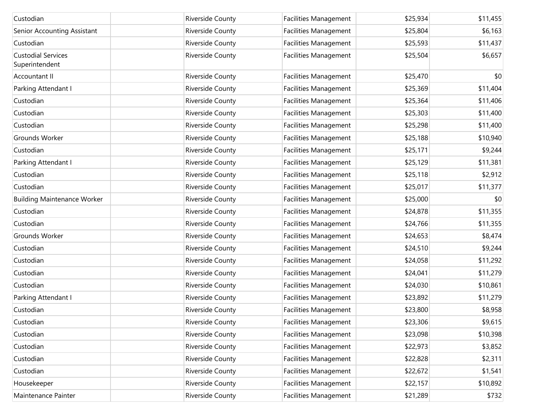| Custodian                                   | Riverside County | Facilities Management        | \$25,934 | \$11,455 |
|---------------------------------------------|------------------|------------------------------|----------|----------|
| Senior Accounting Assistant                 | Riverside County | Facilities Management        | \$25,804 | \$6,163  |
| Custodian                                   | Riverside County | <b>Facilities Management</b> | \$25,593 | \$11,437 |
| <b>Custodial Services</b><br>Superintendent | Riverside County | Facilities Management        | \$25,504 | \$6,657  |
| Accountant II                               | Riverside County | Facilities Management        | \$25,470 | \$0      |
| Parking Attendant I                         | Riverside County | Facilities Management        | \$25,369 | \$11,404 |
| Custodian                                   | Riverside County | <b>Facilities Management</b> | \$25,364 | \$11,406 |
| Custodian                                   | Riverside County | Facilities Management        | \$25,303 | \$11,400 |
| Custodian                                   | Riverside County | <b>Facilities Management</b> | \$25,298 | \$11,400 |
| Grounds Worker                              | Riverside County | Facilities Management        | \$25,188 | \$10,940 |
| Custodian                                   | Riverside County | <b>Facilities Management</b> | \$25,171 | \$9,244  |
| Parking Attendant I                         | Riverside County | Facilities Management        | \$25,129 | \$11,381 |
| Custodian                                   | Riverside County | Facilities Management        | \$25,118 | \$2,912  |
| Custodian                                   | Riverside County | Facilities Management        | \$25,017 | \$11,377 |
| <b>Building Maintenance Worker</b>          | Riverside County | Facilities Management        | \$25,000 | \$0      |
| Custodian                                   | Riverside County | Facilities Management        | \$24,878 | \$11,355 |
| Custodian                                   | Riverside County | Facilities Management        | \$24,766 | \$11,355 |
| Grounds Worker                              | Riverside County | Facilities Management        | \$24,653 | \$8,474  |
| Custodian                                   | Riverside County | Facilities Management        | \$24,510 | \$9,244  |
| Custodian                                   | Riverside County | Facilities Management        | \$24,058 | \$11,292 |
| Custodian                                   | Riverside County | Facilities Management        | \$24,041 | \$11,279 |
| Custodian                                   | Riverside County | Facilities Management        | \$24,030 | \$10,861 |
| Parking Attendant I                         | Riverside County | Facilities Management        | \$23,892 | \$11,279 |
| Custodian                                   | Riverside County | Facilities Management        | \$23,800 | \$8,958  |
| Custodian                                   | Riverside County | <b>Facilities Management</b> | \$23,306 | \$9,615  |
| Custodian                                   | Riverside County | <b>Facilities Management</b> | \$23,098 | \$10,398 |
| Custodian                                   | Riverside County | <b>Facilities Management</b> | \$22,973 | \$3,852  |
| Custodian                                   | Riverside County | Facilities Management        | \$22,828 | \$2,311  |
| Custodian                                   | Riverside County | <b>Facilities Management</b> | \$22,672 | \$1,541  |
| Housekeeper                                 | Riverside County | Facilities Management        | \$22,157 | \$10,892 |
| Maintenance Painter                         | Riverside County | <b>Facilities Management</b> | \$21,289 | \$732    |